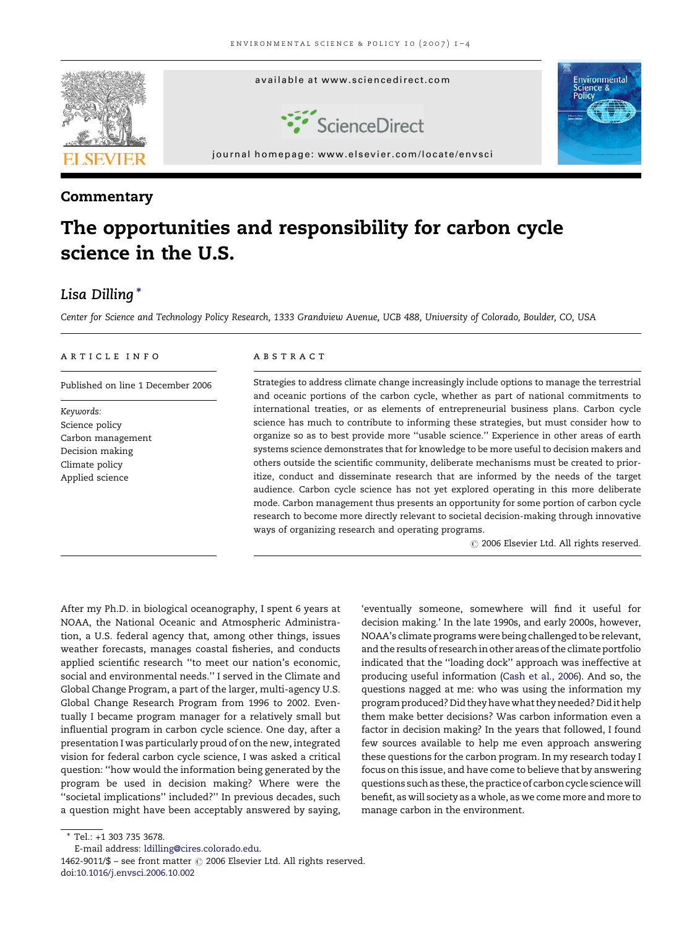

## **Commentary**

# The opportunities and responsibility for carbon cycle science in the U.S.

## Lisa Dilling \*

Center for Science and Technology Policy Research, 1333 Grandview Avenue, UCB 488, University of Colorado, Boulder, CO, USA

#### article info

Published on line 1 December 2006

Keywords: Science policy Carbon management Decision making Climate policy Applied science

### **ABSTRACT**

Strategies to address climate change increasingly include options to manage the terrestrial and oceanic portions of the carbon cycle, whether as part of national commitments to international treaties, or as elements of entrepreneurial business plans. Carbon cycle science has much to contribute to informing these strategies, but must consider how to organize so as to best provide more ''usable science.'' Experience in other areas of earth systems science demonstrates that for knowledge to be more useful to decision makers and others outside the scientific community, deliberate mechanisms must be created to prioritize, conduct and disseminate research that are informed by the needs of the target audience. Carbon cycle science has not yet explored operating in this more deliberate mode. Carbon management thus presents an opportunity for some portion of carbon cycle research to become more directly relevant to societal decision-making through innovative ways of organizing research and operating programs.

 $\odot$  2006 Elsevier Ltd. All rights reserved.

After my Ph.D. in biological oceanography, I spent 6 years at NOAA, the National Oceanic and Atmospheric Administration, a U.S. federal agency that, among other things, issues weather forecasts, manages coastal fisheries, and conducts applied scientific research ''to meet our nation's economic, social and environmental needs.'' I served in the Climate and Global Change Program, a part of the larger, multi-agency U.S. Global Change Research Program from 1996 to 2002. Eventually I became program manager for a relatively small but influential program in carbon cycle science. One day, after a presentation I was particularly proud of on the new, integrated vision for federal carbon cycle science, I was asked a critical question: ''how would the information being generated by the program be used in decision making? Where were the ''societal implications'' included?'' In previous decades, such a question might have been acceptably answered by saying,

E-mail address: [ldilling@cires.colorado.edu](mailto:ldilling@cires.colorado.edu).

1462-9011/\$ - see front matter © 2006 Elsevier Ltd. All rights reserved. doi[:10.1016/j.envsci.2006.10.002](http://dx.doi.org/10.1016/j.envsci.2006.10.002)

'eventually someone, somewhere will find it useful for decision making.' In the late 1990s, and early 2000s, however, NOAA's climate programs were being challenged to be relevant, and the results of research in other areas of the climate portfolio indicated that the ''loading dock'' approach was ineffective at producing useful information ([Cash et al., 2006](#page-3-0)). And so, the questions nagged at me: who was using the information my program produced? Did they havewhat they needed? Did it help them make better decisions? Was carbon information even a factor in decision making? In the years that followed, I found few sources available to help me even approach answering these questions for the carbon program. In my research today I focus on this issue, and have come to believe that by answering questions such as these, the practice of carbon cycle sciencewill benefit, as will society as a whole, as we come more and more to manage carbon in the environment.

<sup>\*</sup> Tel.: +1 303 735 3678.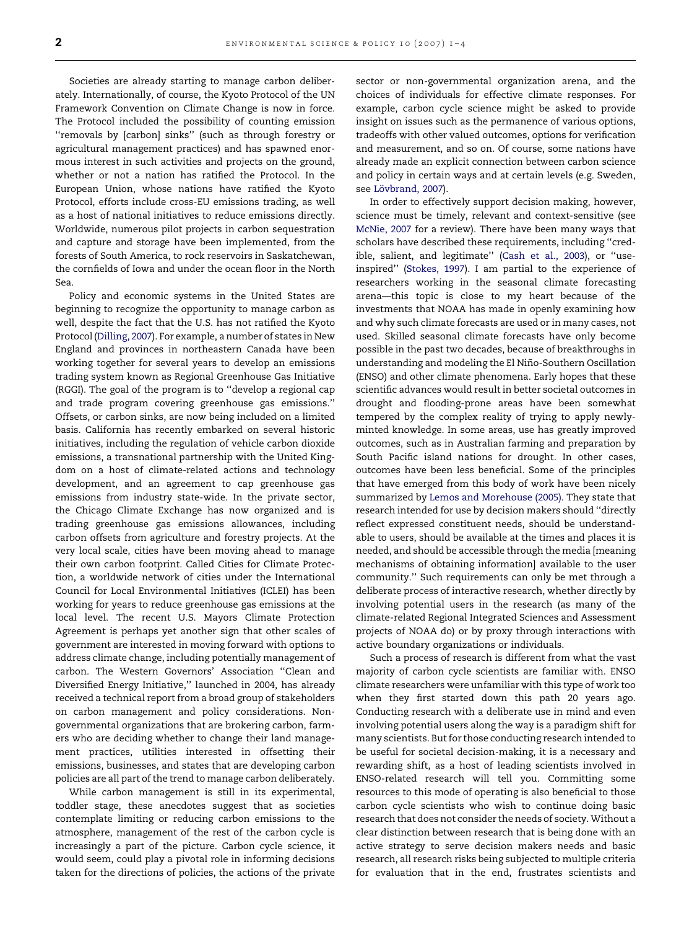Societies are already starting to manage carbon deliberately. Internationally, of course, the Kyoto Protocol of the UN Framework Convention on Climate Change is now in force. The Protocol included the possibility of counting emission ''removals by [carbon] sinks'' (such as through forestry or agricultural management practices) and has spawned enormous interest in such activities and projects on the ground, whether or not a nation has ratified the Protocol. In the European Union, whose nations have ratified the Kyoto Protocol, efforts include cross-EU emissions trading, as well as a host of national initiatives to reduce emissions directly. Worldwide, numerous pilot projects in carbon sequestration and capture and storage have been implemented, from the forests of South America, to rock reservoirs in Saskatchewan, the cornfields of Iowa and under the ocean floor in the North Sea.

Policy and economic systems in the United States are beginning to recognize the opportunity to manage carbon as well, despite the fact that the U.S. has not ratified the Kyoto Protocol [\(Dilling, 2007\)](#page-3-0). For example, a number of states in New England and provinces in northeastern Canada have been working together for several years to develop an emissions trading system known as Regional Greenhouse Gas Initiative (RGGI). The goal of the program is to ''develop a regional cap and trade program covering greenhouse gas emissions.'' Offsets, or carbon sinks, are now being included on a limited basis. California has recently embarked on several historic initiatives, including the regulation of vehicle carbon dioxide emissions, a transnational partnership with the United Kingdom on a host of climate-related actions and technology development, and an agreement to cap greenhouse gas emissions from industry state-wide. In the private sector, the Chicago Climate Exchange has now organized and is trading greenhouse gas emissions allowances, including carbon offsets from agriculture and forestry projects. At the very local scale, cities have been moving ahead to manage their own carbon footprint. Called Cities for Climate Protection, a worldwide network of cities under the International Council for Local Environmental Initiatives (ICLEI) has been working for years to reduce greenhouse gas emissions at the local level. The recent U.S. Mayors Climate Protection Agreement is perhaps yet another sign that other scales of government are interested in moving forward with options to address climate change, including potentially management of carbon. The Western Governors' Association ''Clean and Diversified Energy Initiative,'' launched in 2004, has already received a technical report from a broad group of stakeholders on carbon management and policy considerations. Nongovernmental organizations that are brokering carbon, farmers who are deciding whether to change their land management practices, utilities interested in offsetting their emissions, businesses, and states that are developing carbon policies are all part of the trend to manage carbon deliberately.

While carbon management is still in its experimental, toddler stage, these anecdotes suggest that as societies contemplate limiting or reducing carbon emissions to the atmosphere, management of the rest of the carbon cycle is increasingly a part of the picture. Carbon cycle science, it would seem, could play a pivotal role in informing decisions taken for the directions of policies, the actions of the private sector or non-governmental organization arena, and the choices of individuals for effective climate responses. For example, carbon cycle science might be asked to provide insight on issues such as the permanence of various options, tradeoffs with other valued outcomes, options for verification and measurement, and so on. Of course, some nations have already made an explicit connection between carbon science and policy in certain ways and at certain levels (e.g. Sweden, see Lövbrand, 2007).

In order to effectively support decision making, however, science must be timely, relevant and context-sensitive (see [McNie, 2007](#page-3-0) for a review). There have been many ways that scholars have described these requirements, including ''credible, salient, and legitimate'' [\(Cash et al., 2003\)](#page-3-0), or ''useinspired'' ([Stokes, 1997](#page-3-0)). I am partial to the experience of researchers working in the seasonal climate forecasting arena—this topic is close to my heart because of the investments that NOAA has made in openly examining how and why such climate forecasts are used or in many cases, not used. Skilled seasonal climate forecasts have only become possible in the past two decades, because of breakthroughs in understanding and modeling the El Niño-Southern Oscillation (ENSO) and other climate phenomena. Early hopes that these scientific advances would result in better societal outcomes in drought and flooding-prone areas have been somewhat tempered by the complex reality of trying to apply newlyminted knowledge. In some areas, use has greatly improved outcomes, such as in Australian farming and preparation by South Pacific island nations for drought. In other cases, outcomes have been less beneficial. Some of the principles that have emerged from this body of work have been nicely summarized by [Lemos and Morehouse \(2005\).](#page-3-0) They state that research intended for use by decision makers should ''directly reflect expressed constituent needs, should be understandable to users, should be available at the times and places it is needed, and should be accessible through the media [meaning mechanisms of obtaining information] available to the user community.'' Such requirements can only be met through a deliberate process of interactive research, whether directly by involving potential users in the research (as many of the climate-related Regional Integrated Sciences and Assessment projects of NOAA do) or by proxy through interactions with active boundary organizations or individuals.

Such a process of research is different from what the vast majority of carbon cycle scientists are familiar with. ENSO climate researchers were unfamiliar with this type of work too when they first started down this path 20 years ago. Conducting research with a deliberate use in mind and even involving potential users along the way is a paradigm shift for many scientists. But for those conducting research intended to be useful for societal decision-making, it is a necessary and rewarding shift, as a host of leading scientists involved in ENSO-related research will tell you. Committing some resources to this mode of operating is also beneficial to those carbon cycle scientists who wish to continue doing basic research that does not consider the needs of society. Without a clear distinction between research that is being done with an active strategy to serve decision makers needs and basic research, all research risks being subjected to multiple criteria for evaluation that in the end, frustrates scientists and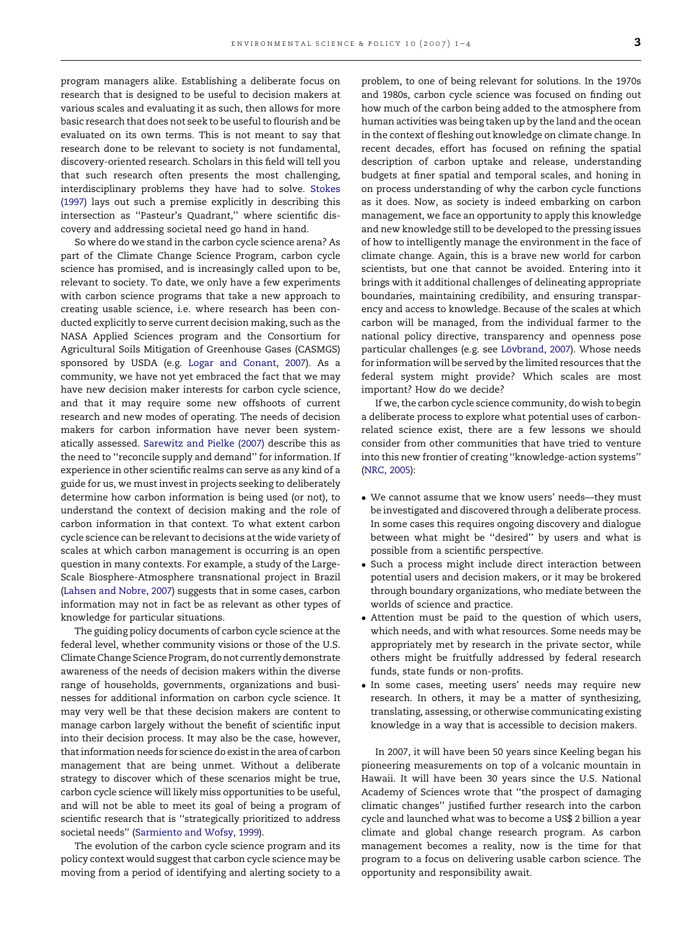program managers alike. Establishing a deliberate focus on research that is designed to be useful to decision makers at various scales and evaluating it as such, then allows for more basic research that does not seek to be useful to flourish and be evaluated on its own terms. This is not meant to say that research done to be relevant to society is not fundamental, discovery-oriented research. Scholars in this field will tell you that such research often presents the most challenging, interdisciplinary problems they have had to solve. [Stokes](#page-3-0) [\(1997\)](#page-3-0) lays out such a premise explicitly in describing this intersection as ''Pasteur's Quadrant,'' where scientific discovery and addressing societal need go hand in hand.

So where do we stand in the carbon cycle science arena? As part of the Climate Change Science Program, carbon cycle science has promised, and is increasingly called upon to be, relevant to society. To date, we only have a few experiments with carbon science programs that take a new approach to creating usable science, i.e. where research has been conducted explicitly to serve current decision making, such as the NASA Applied Sciences program and the Consortium for Agricultural Soils Mitigation of Greenhouse Gases (CASMGS) sponsored by USDA (e.g. [Logar and Conant, 2007](#page-3-0)). As a community, we have not yet embraced the fact that we may have new decision maker interests for carbon cycle science, and that it may require some new offshoots of current research and new modes of operating. The needs of decision makers for carbon information have never been systematically assessed. [Sarewitz and Pielke \(2007\)](#page-3-0) describe this as the need to ''reconcile supply and demand'' for information. If experience in other scientific realms can serve as any kind of a guide for us, we must invest in projects seeking to deliberately determine how carbon information is being used (or not), to understand the context of decision making and the role of carbon information in that context. To what extent carbon cycle science can be relevant to decisions at the wide variety of scales at which carbon management is occurring is an open question in many contexts. For example, a study of the Large-Scale Biosphere-Atmosphere transnational project in Brazil [\(Lahsen and Nobre, 2007](#page-3-0)) suggests that in some cases, carbon information may not in fact be as relevant as other types of knowledge for particular situations.

The guiding policy documents of carbon cycle science at the federal level, whether community visions or those of the U.S. Climate Change Science Program, do not currently demonstrate awareness of the needs of decision makers within the diverse range of households, governments, organizations and businesses for additional information on carbon cycle science. It may very well be that these decision makers are content to manage carbon largely without the benefit of scientific input into their decision process. It may also be the case, however, that information needs for science do exist in the area of carbon management that are being unmet. Without a deliberate strategy to discover which of these scenarios might be true, carbon cycle science will likely miss opportunities to be useful, and will not be able to meet its goal of being a program of scientific research that is ''strategically prioritized to address societal needs'' [\(Sarmiento and Wofsy, 1999](#page-3-0)).

The evolution of the carbon cycle science program and its policy context would suggest that carbon cycle science may be moving from a period of identifying and alerting society to a problem, to one of being relevant for solutions. In the 1970s and 1980s, carbon cycle science was focused on finding out how much of the carbon being added to the atmosphere from human activities was being taken up by the land and the ocean in the context of fleshing out knowledge on climate change. In recent decades, effort has focused on refining the spatial description of carbon uptake and release, understanding budgets at finer spatial and temporal scales, and honing in on process understanding of why the carbon cycle functions as it does. Now, as society is indeed embarking on carbon management, we face an opportunity to apply this knowledge and new knowledge still to be developed to the pressing issues of how to intelligently manage the environment in the face of climate change. Again, this is a brave new world for carbon scientists, but one that cannot be avoided. Entering into it brings with it additional challenges of delineating appropriate boundaries, maintaining credibility, and ensuring transparency and access to knowledge. Because of the scales at which carbon will be managed, from the individual farmer to the national policy directive, transparency and openness pose particular challenges (e.g. see Lövbrand, 2007). Whose needs for information will be served by the limited resources that the federal system might provide? Which scales are most important? How do we decide?

If we, the carbon cycle science community, do wish to begin a deliberate process to explore what potential uses of carbonrelated science exist, there are a few lessons we should consider from other communities that have tried to venture into this new frontier of creating ''knowledge-action systems'' [\(NRC, 2005\)](#page-3-0):

- We cannot assume that we know users' needs—they must be investigated and discovered through a deliberate process. In some cases this requires ongoing discovery and dialogue between what might be ''desired'' by users and what is possible from a scientific perspective.
- Such a process might include direct interaction between potential users and decision makers, or it may be brokered through boundary organizations, who mediate between the worlds of science and practice.
- Attention must be paid to the question of which users, which needs, and with what resources. Some needs may be appropriately met by research in the private sector, while others might be fruitfully addressed by federal research funds, state funds or non-profits.
- In some cases, meeting users' needs may require new research. In others, it may be a matter of synthesizing, translating, assessing, or otherwise communicating existing knowledge in a way that is accessible to decision makers.

In 2007, it will have been 50 years since Keeling began his pioneering measurements on top of a volcanic mountain in Hawaii. It will have been 30 years since the U.S. National Academy of Sciences wrote that ''the prospect of damaging climatic changes'' justified further research into the carbon cycle and launched what was to become a US\$ 2 billion a year climate and global change research program. As carbon management becomes a reality, now is the time for that program to a focus on delivering usable carbon science. The opportunity and responsibility await.